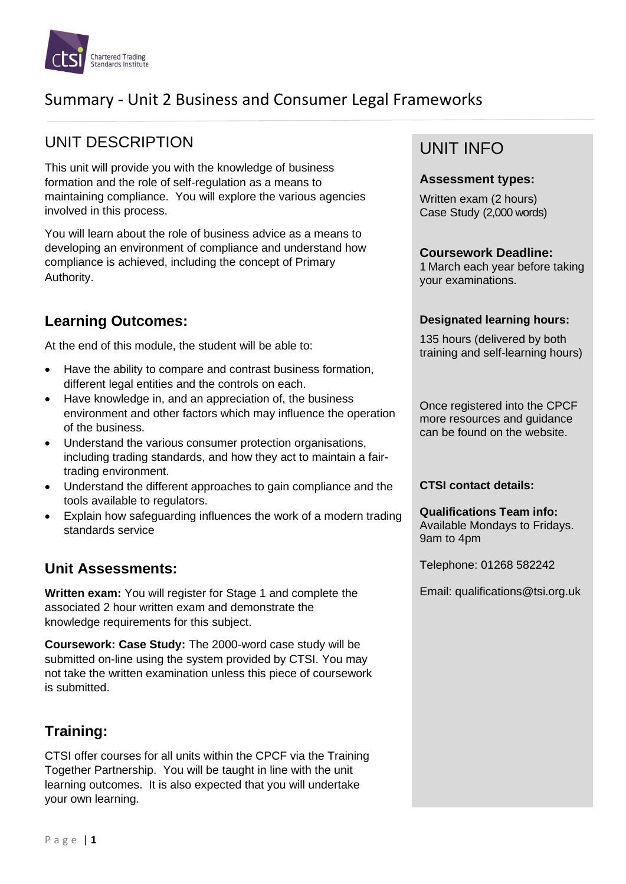

# Summary - Unit 2 Business and Consumer Legal Frameworks

# UNIT DESCRIPTION

This unit will provide you with the knowledge of business formation and the role of self-regulation as a means to maintaining compliance. You will explore the various agencies involved in this process.

You will learn about the role of business advice as a means to developing an environment of compliance and understand how compliance is achieved, including the concept of Primary Authority.

## **Learning Outcomes:**

At the end of this module, the student will be able to:

- Have the ability to compare and contrast business formation, different legal entities and the controls on each.
- Have knowledge in, and an appreciation of, the business environment and other factors which may influence the operation of the business.
- Understand the various consumer protection organisations, including trading standards, and how they act to maintain a fairtrading environment.
- Understand the different approaches to gain compliance and the tools available to regulators.
- Explain how safeguarding influences the work of a modern trading standards service

### **Unit Assessments:**

**Written exam:** You will register for Stage 1 and complete the associated 2 hour written exam and demonstrate the knowledge requirements for this subject.

**Coursework: Case Study:** The 2000-word case study will be submitted on-line using the system provided by CTSI. You may not take the written examination unless this piece of coursework is submitted.

## **Training:**

CTSI offer courses for all units within the CPCF via the Training Together Partnership. You will be taught in line with the unit learning outcomes. It is also expected that you will undertake your own learning.

# UNIT INFO

#### **Assessment types:**

Written exam (2 hours) Case Study (2,000 words)

#### **Coursework Deadline:**

1 March each year before taking your examinations.

#### **Designated learning hours:**

135 hours (delivered by both training and self-learning hours)

Once registered into the CPCF more resources and guidance can be found on the website.

#### **CTSI contact details:**

**Qualifications Team info:** Available Mondays to Fridays. 9am to 4pm

Telephone: 01268 582242

Email: qualifications@tsi.org.uk